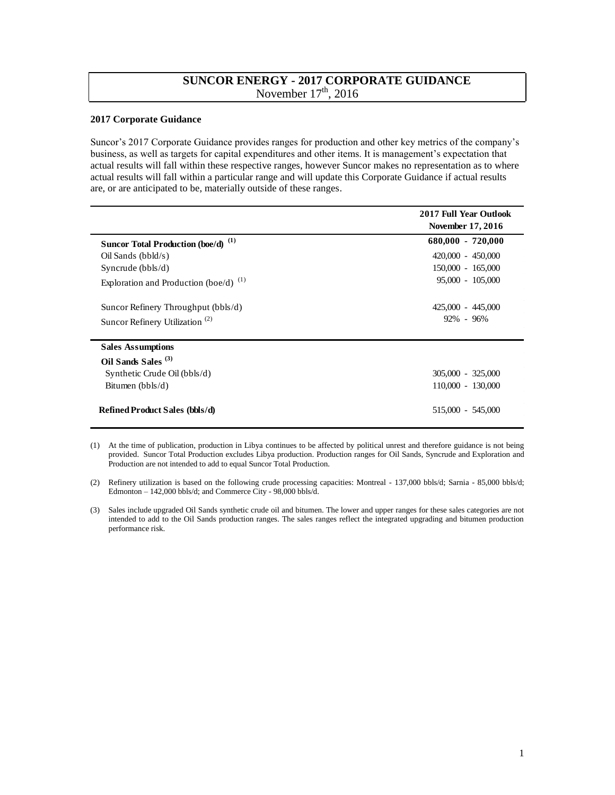## **SUNCOR ENERGY - 2017 CORPORATE GUIDANCE**  November  $17<sup>th</sup>$ , 2016

## **2017 Corporate Guidance**

 Suncor's 2017 Corporate Guidance provides ranges for production and other key metrics of the company's business, as well as targets for capital expenditures and other items. It is management's expectation that actual results will fall within these respective ranges, however Suncor makes no representation as to where actual results will fall within a particular range and will update this Corporate Guidance if actual results are, or are anticipated to be, materially outside of these ranges.

|                                                | 2017 Full Year Outlook<br>November 17, 2016 |
|------------------------------------------------|---------------------------------------------|
| Suncor Total Production (boe/d) <sup>(1)</sup> | $680,000 - 720,000$                         |
| Oil Sands $(bbld/s)$                           | 420,000 - 450,000                           |
| Syncrude $(bbls/d)$                            | 150,000 - 165,000                           |
| Exploration and Production (boe/d) $^{(1)}$    | $95,000 - 105,000$                          |
| Suncor Refinery Throughput (bbls/d)            | 425,000 - 445,000                           |
| Suncor Refinery Utilization <sup>(2)</sup>     | $92\% - 96\%$                               |
| <b>Sales Assumptions</b>                       |                                             |
| Oil Sands Sales <sup>(3)</sup>                 |                                             |
| Synthetic Crude Oil (bbls/d)                   | $305,000 - 325,000$                         |
| Bitumen $(bbls/d)$                             | 110,000 - 130,000                           |
| <b>Refined Product Sales (bbls/d)</b>          | 515,000 - 545,000                           |

 (1) At the time of publication, production in Libya continues to be affected by political unrest and therefore guidance is not being provided. Suncor Total Production excludes Libya production. Production ranges for Oil Sands, Syncrude and Exploration and Production are not intended to add to equal Suncor Total Production.

 (3) Sales include upgraded Oil Sands synthetic crude oil and bitumen. The lower and upper ranges for these sales categories are not intended to add to the Oil Sands production ranges. The sales ranges reflect the integrated upgrading and bitumen production performance risk.

 (2) Refinery utilization is based on the following crude processing capacities: Montreal - 137,000 bbls/d; Sarnia - 85,000 bbls/d; Edmonton – 142,000 bbls/d; and Commerce City - 98,000 bbls/d.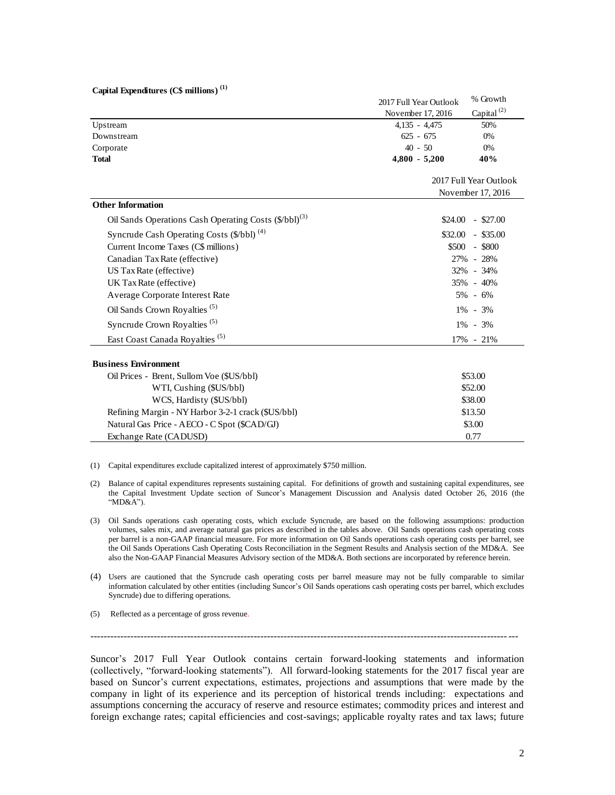| Capital Expenditures (C\$ millions) <sup>(1)</sup> |  |
|----------------------------------------------------|--|
|----------------------------------------------------|--|

| Capital Expenditures (C\$ millions) <sup>(1)</sup>                |                                             |                        |  |
|-------------------------------------------------------------------|---------------------------------------------|------------------------|--|
|                                                                   | 2017 Full Year Outlook                      | % Growth               |  |
|                                                                   | November 17, 2016                           | Capital <sup>(2)</sup> |  |
| Upstream                                                          | $4,135 - 4,475$                             | 50%                    |  |
| Downstream                                                        | $625 - 675$                                 | 0%                     |  |
| Corporate                                                         | $40 - 50$                                   | 0%                     |  |
| <b>Total</b>                                                      | $4,800 - 5,200$                             | 40%                    |  |
|                                                                   | 2017 Full Year Outlook<br>November 17, 2016 |                        |  |
| <b>Other Information</b>                                          |                                             |                        |  |
| Oil Sands Operations Cash Operating Costs (\$/bbl) <sup>(3)</sup> |                                             | $$24.00 - $27.00$      |  |
| Syncrude Cash Operating Costs (\$/bbl) <sup>(4)</sup>             | \$32.00<br>$-$ \$35.00                      |                        |  |
| Current Income Taxes (C\$ millions)                               | \$500<br>- \$800                            |                        |  |
| Canadian Tax Rate (effective)                                     | 27% - 28%                                   |                        |  |
| US Tax Rate (effective)                                           | 32% - 34%                                   |                        |  |
| UK Tax Rate (effective)                                           | 35% - 40%                                   |                        |  |
| Average Corporate Interest Rate                                   | $5\% - 6\%$                                 |                        |  |
| Oil Sands Crown Royalties <sup>(5)</sup>                          | $1\% - 3\%$                                 |                        |  |
| Syncrude Crown Royalties <sup>(5)</sup>                           | $1\% - 3\%$                                 |                        |  |
| East Coast Canada Royalties <sup>(5)</sup>                        |                                             | 17% - 21%              |  |
| <b>Business Environment</b>                                       |                                             |                        |  |
| Oil Prices - Brent, Sullom Voe (\$US/bbl)                         | \$53.00                                     |                        |  |
| WTI, Cushing (\$US/bbl)                                           | \$52.00                                     |                        |  |
| WCS, Hardisty (\$US/bbl)                                          | \$38.00                                     |                        |  |
| Refining Margin - NY Harbor 3-2-1 crack (\$US/bbl)                | \$13.50                                     |                        |  |
| Natural Gas Price - AECO - C Spot (\$CAD/GJ)                      | \$3.00                                      |                        |  |
| Exchange Rate (CADUSD)                                            | 0.77                                        |                        |  |

(1) Capital expenditures exclude capitalized interest of approximately \$750 million.

- (2) Balance of capital expenditures represents sustaining capital. For definitions of growth and sustaining capital expenditures, see the Capital Investment Update section of Suncor's Management Discussion and Analysis dated October 26, 2016 (the "MD&A").
- (3) Oil Sands operations cash operating costs, which exclude Syncrude, are based on the following assumptions: production volumes, sales mix, and average natural gas prices as described in the tables above. Oil Sands operations cash operating costs per barrel is a non-GAAP financial measure. For more information on Oil Sands operations cash operating costs per barrel, see the Oil Sands Operations Cash Operating Costs Reconciliation in the Segment Results and Analysis section of the MD&A. See also the Non-GAAP Financial Measures Advisory section of the MD&A. Both sections are incorporated by reference herein.
- (4) Users are cautioned that the Syncrude cash operating costs per barrel measure may not be fully comparable to similar information calculated by other entities (including Suncor's Oil Sands operations cash operating costs per barrel, which excludes Syncrude) due to differing operations.

----------------------------------------------------------------------------------------------------------------------------- ---

(5) Reflected as a percentage of gross revenue.

 Suncor's 2017 Full Year Outlook contains certain forward-looking statements and information (collectively, "forward-looking statements"). All forward-looking statements for the 2017 fiscal year are based on Suncor's current expectations, estimates, projections and assumptions that were made by the company in light of its experience and its perception of historical trends including: expectations and assumptions concerning the accuracy of reserve and resource estimates; commodity prices and interest and foreign exchange rates; capital efficiencies and cost-savings; applicable royalty rates and tax laws; future